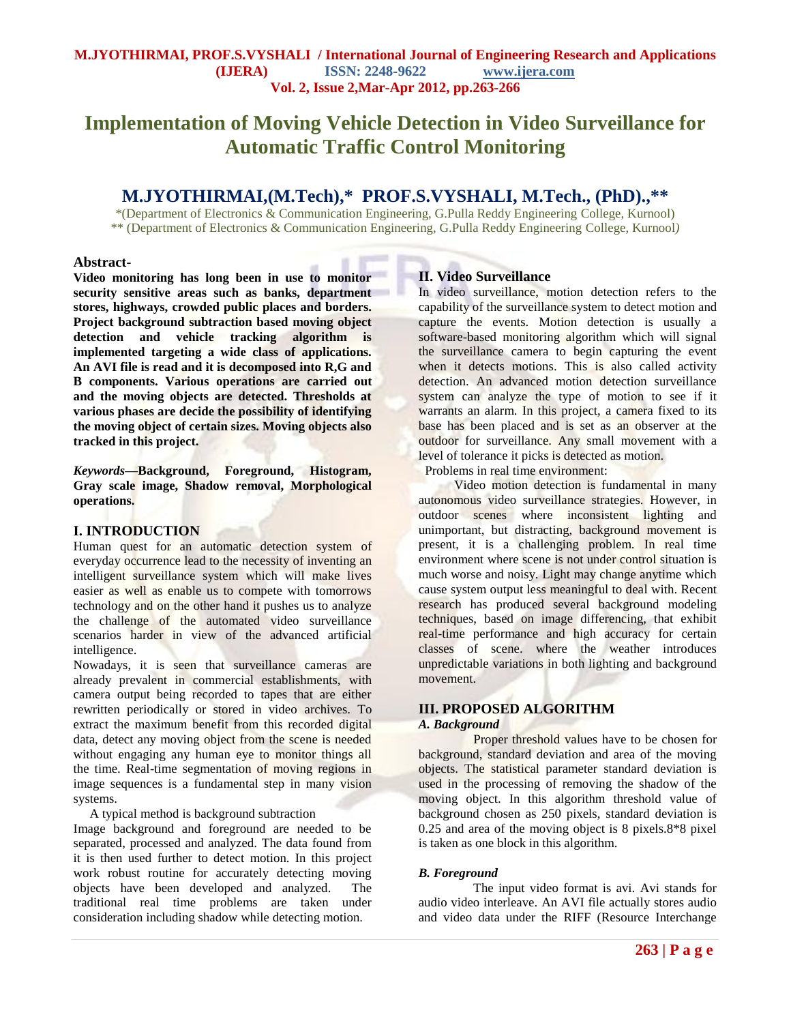# **Implementation of Moving Vehicle Detection in Video Surveillance for Automatic Traffic Control Monitoring**

# **M.JYOTHIRMAI,(M.Tech),\* PROF.S.VYSHALI, M.Tech., (PhD).,\*\***

\*(Department of Electronics & Communication Engineering, G.Pulla Reddy Engineering College, Kurnool) \*\* (Department of Electronics & Communication Engineering, G.Pulla Reddy Engineering College, Kurnool*)*

۱

#### **Abstract-**

**Video monitoring has long been in use to monitor security sensitive areas such as banks, department stores, highways, crowded public places and borders. Project background subtraction based moving object detection and vehicle tracking algorithm is implemented targeting a wide class of applications. An AVI file is read and it is decomposed into R,G and B components. Various operations are carried out and the moving objects are detected. Thresholds at various phases are decide the possibility of identifying the moving object of certain sizes. Moving objects also tracked in this project.** 

*Keywords***—Background, Foreground, Histogram, Gray scale image, Shadow removal, Morphological operations.**

#### **I. INTRODUCTION**

Human quest for an automatic detection system of everyday occurrence lead to the necessity of inventing an intelligent surveillance system which will make lives easier as well as enable us to compete with tomorrows technology and on the other hand it pushes us to analyze the challenge of the automated video surveillance scenarios harder in view of the advanced artificial intelligence.

Nowadays, it is seen that surveillance cameras are already prevalent in commercial establishments, with camera output being recorded to tapes that are either rewritten periodically or stored in video archives. To extract the maximum benefit from this recorded digital data, detect any moving object from the scene is needed without engaging any human eye to monitor things all the time. Real-time segmentation of moving regions in image sequences is a fundamental step in many vision systems.

A typical method is background subtraction

Image background and foreground are needed to be separated, processed and analyzed. The data found from it is then used further to detect motion. In this project work robust routine for accurately detecting moving objects have been developed and analyzed. The traditional real time problems are taken under consideration including shadow while detecting motion.

### **II. Video Surveillance**

In video surveillance, motion detection refers to the capability of the surveillance system to detect motion and capture the events. Motion detection is usually a software-based monitoring algorithm which will signal the surveillance camera to begin capturing the event when it detects motions. This is also called activity detection. An advanced motion detection surveillance system can analyze the type of motion to see if it warrants an alarm. In this project, a camera fixed to its base has been placed and is set as an observer at the outdoor for surveillance. Any small movement with a level of tolerance it picks is detected as motion.

Problems in real time environment:

 Video motion detection is fundamental in many autonomous video surveillance strategies. However, in outdoor scenes where inconsistent lighting and unimportant, but distracting, background movement is present, it is a challenging problem. In real time environment where scene is not under control situation is much worse and noisy. Light may change anytime which cause system output less meaningful to deal with. Recent research has produced several background modeling techniques, based on image differencing, that exhibit real-time performance and high accuracy for certain classes of scene. where the weather introduces unpredictable variations in both lighting and background movement.

# **III. PROPOSED ALGORITHM**

# *A. Background*

 Proper threshold values have to be chosen for background, standard deviation and area of the moving objects. The statistical parameter standard deviation is used in the processing of removing the shadow of the moving object. In this algorithm threshold value of background chosen as 250 pixels, standard deviation is 0.25 and area of the moving object is 8 pixels.8\*8 pixel is taken as one block in this algorithm.

# *B. Foreground*

 The input video format is avi. Avi stands for audio video interleave. An AVI file actually stores audio and video data under the RIFF (Resource Interchange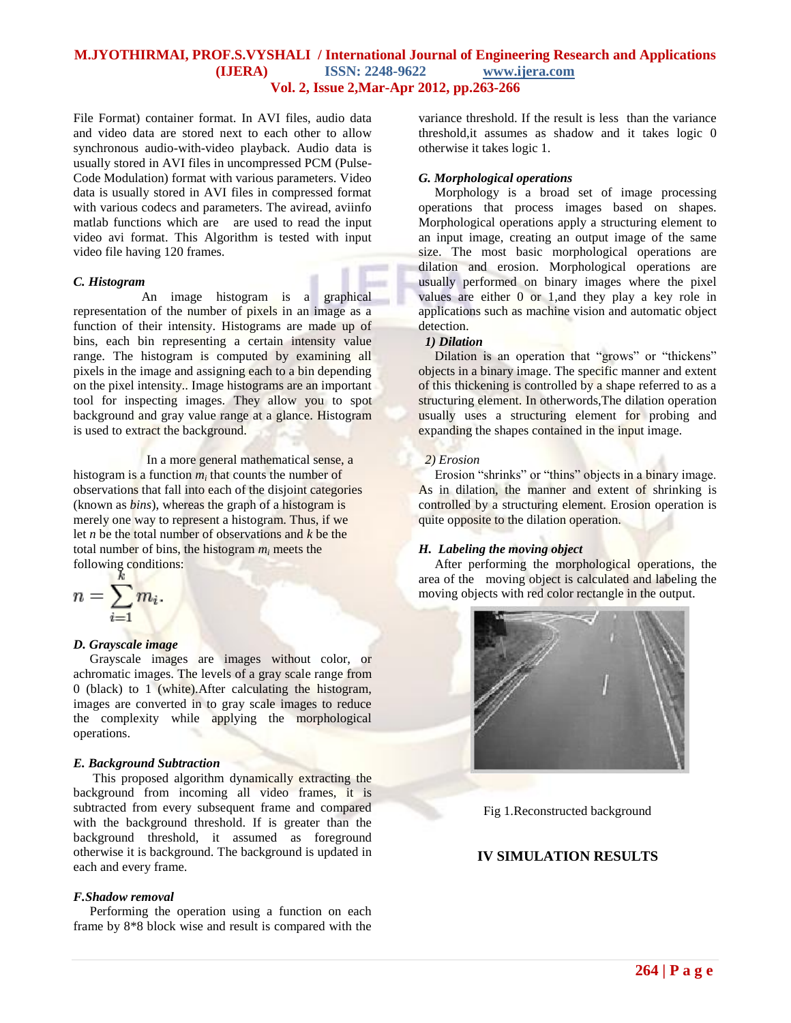#### **M.JYOTHIRMAI, PROF.S.VYSHALI / International Journal of Engineering Research and Applications (IJERA) ISSN: 2248-9622 www.ijera.com Vol. 2, Issue 2,Mar-Apr 2012, pp.263-266**

File Format) container format. In AVI files, audio data and video data are stored next to each other to allow synchronous audio-with-video playback. Audio data is usually stored in AVI files in uncompressed PCM (Pulse-Code Modulation) format with various parameters. Video data is usually stored in AVI files in compressed format with various codecs and parameters. The aviread, aviinfo matlab functions which are are used to read the input video avi format. This Algorithm is tested with input video file having 120 frames.

#### *C. Histogram*

 An image histogram is a graphical representation of the number of pixels in an image as a function of their intensity. Histograms are made up of bins, each bin representing a certain intensity value range. The histogram is computed by examining all pixels in the image and assigning each to a bin depending on the pixel intensity.. Image histograms are an important tool for inspecting images. They allow you to spot background and gray value range at a glance. Histogram is used to extract the background.

In a more general mathematical sense, a histogram is a function  $m_i$  that counts the number of observations that fall into each of the disjoint categories (known as *bins*), whereas the graph of a histogram is merely one way to represent a histogram. Thus, if we let *n* be the total number of observations and *k* be the total number of bins, the histogram *m<sup>i</sup>* meets the following conditions:

$$
n=\sum_{i=1}^n m_i.
$$

#### *D. Grayscale image*

Grayscale images are images without color, or achromatic images. The levels of a gray scale range from 0 (black) to 1 (white).After calculating the histogram, images are converted in to gray scale images to reduce the complexity while applying the morphological operations.

#### *E. Background Subtraction*

This proposed algorithm dynamically extracting the background from incoming all video frames, it is subtracted from every subsequent frame and compared with the background threshold. If is greater than the background threshold, it assumed as foreground otherwise it is background. The background is updated in each and every frame.

#### *F.Shadow removal*

 Performing the operation using a function on each frame by 8\*8 block wise and result is compared with the variance threshold. If the result is less than the variance threshold,it assumes as shadow and it takes logic 0 otherwise it takes logic 1.

#### *G. Morphological operations*

 Morphology is a broad set of image processing operations that process images based on shapes. Morphological operations apply a structuring element to an input image, creating an output image of the same size. The most basic morphological operations are dilation and erosion. Morphological operations are usually performed on binary images where the pixel values are either 0 or 1,and they play a key role in applications such as machine vision and automatic object detection.

#### *1) Dilation*

Dilation is an operation that "grows" or "thickens" objects in a binary image. The specific manner and extent of this thickening is controlled by a shape referred to as a structuring element. In otherwords,The dilation operation usually uses a structuring element for probing and expanding the shapes contained in the input image.

#### *2) Erosion*

Erosion "shrinks" or "thins" objects in a binary image. As in dilation, the manner and extent of shrinking is controlled by a structuring element. Erosion operation is quite opposite to the dilation operation.

#### *H. Labeling the moving object*

 After performing the morphological operations, the area of the moving object is calculated and labeling the moving objects with red color rectangle in the output.



Fig 1.Reconstructed background

# **IV SIMULATION RESULTS**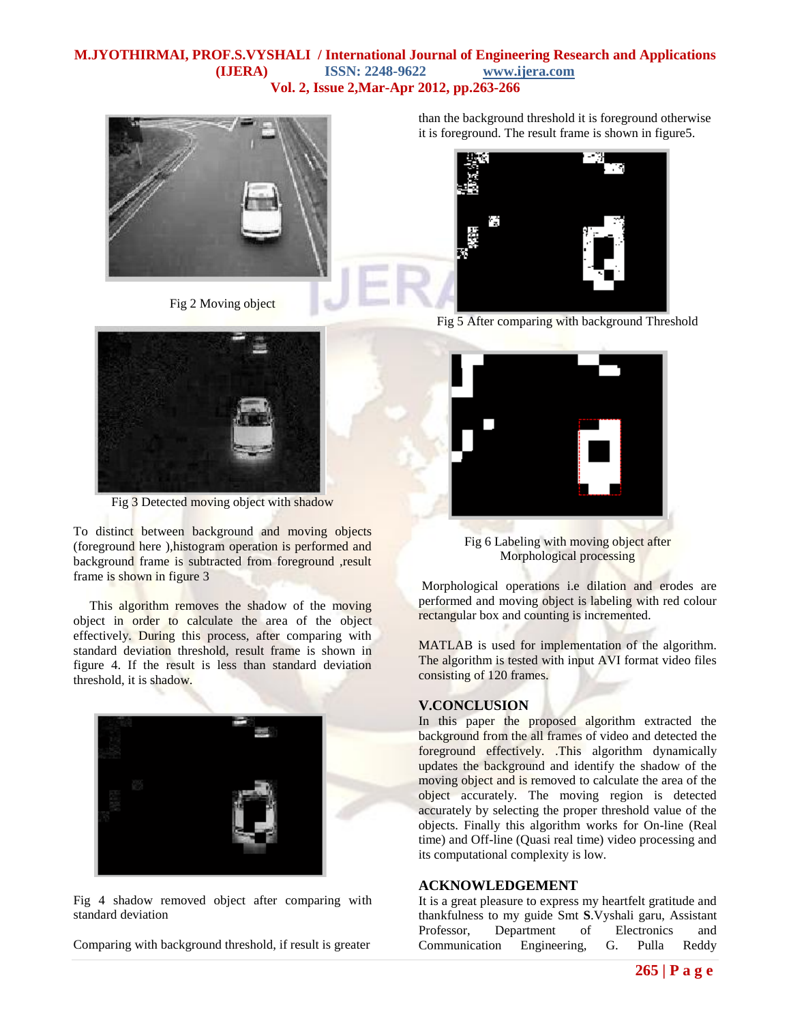#### **M.JYOTHIRMAI, PROF.S.VYSHALI / International Journal of Engineering Research and Applications (IJERA) ISSN: 2248-9622 www.ijera.com Vol. 2, Issue 2,Mar-Apr 2012, pp.263-266**



Fig 2 Moving object



Fig 3 Detected moving object with shadow

To distinct between background and moving objects (foreground here ),histogram operation is performed and background frame is subtracted from foreground ,result frame is shown in figure 3

 This algorithm removes the shadow of the moving object in order to calculate the area of the object effectively. During this process, after comparing with standard deviation threshold, result frame is shown in figure 4. If the result is less than standard deviation threshold, it is shadow.



Fig 4 shadow removed object after comparing with standard deviation

Comparing with background threshold, if result is greater

than the background threshold it is foreground otherwise it is foreground. The result frame is shown in figure5.



Fig 5 After comparing with background Threshold



Fig 6 Labeling with moving object after Morphological processing

Morphological operations i.e dilation and erodes are performed and moving object is labeling with red colour rectangular box and counting is incremented.

MATLAB is used for implementation of the algorithm. The algorithm is tested with input AVI format video files consisting of 120 frames.

# **V.CONCLUSION**

In this paper the proposed algorithm extracted the background from the all frames of video and detected the foreground effectively. .This algorithm dynamically updates the background and identify the shadow of the moving object and is removed to calculate the area of the object accurately. The moving region is detected accurately by selecting the proper threshold value of the objects. Finally this algorithm works for On-line (Real time) and Off-line (Quasi real time) video processing and its computational complexity is low.

#### **ACKNOWLEDGEMENT**

It is a great pleasure to express my heartfelt gratitude and thankfulness to my guide Smt **S**.Vyshali garu, Assistant Professor, Department of Electronics and Communication Engineering, G. Pulla Reddy